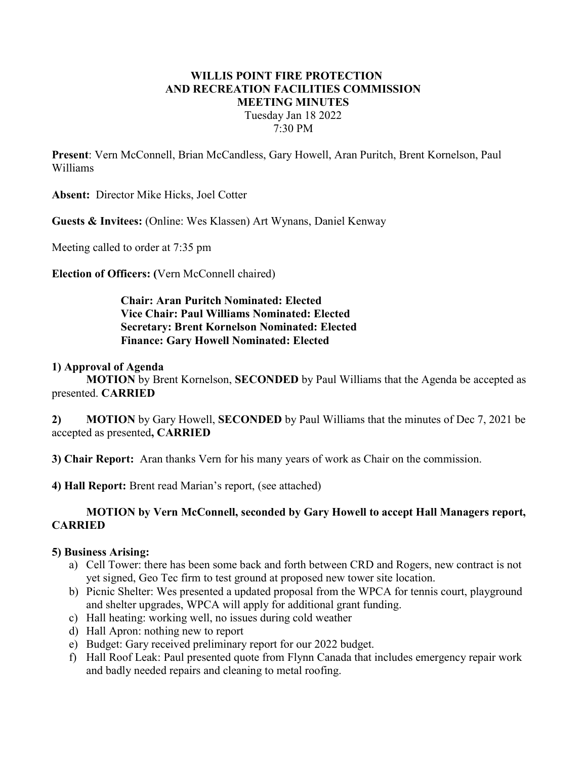# WILLIS POINT FIRE PROTECTION AND RECREATION FACILITIES COMMISSION MEETING MINUTES Tuesday Jan 18 2022 7:30 PM

Present: Vern McConnell, Brian McCandless, Gary Howell, Aran Puritch, Brent Kornelson, Paul Williams

Absent: Director Mike Hicks, Joel Cotter

Guests & Invitees: (Online: Wes Klassen) Art Wynans, Daniel Kenway

Meeting called to order at 7:35 pm

Election of Officers: (Vern McConnell chaired)

Chair: Aran Puritch Nominated: Elected Vice Chair: Paul Williams Nominated: Elected Secretary: Brent Kornelson Nominated: Elected Finance: Gary Howell Nominated: Elected

### 1) Approval of Agenda

MOTION by Brent Kornelson, SECONDED by Paul Williams that the Agenda be accepted as presented. CARRIED

2) MOTION by Gary Howell, SECONDED by Paul Williams that the minutes of Dec 7, 2021 be accepted as presented, CARRIED

3) Chair Report: Aran thanks Vern for his many years of work as Chair on the commission.

4) Hall Report: Brent read Marian's report, (see attached)

### MOTION by Vern McConnell, seconded by Gary Howell to accept Hall Managers report, **CARRIED**

#### 5) Business Arising:

- a) Cell Tower: there has been some back and forth between CRD and Rogers, new contract is not yet signed, Geo Tec firm to test ground at proposed new tower site location.
- b) Picnic Shelter: Wes presented a updated proposal from the WPCA for tennis court, playground and shelter upgrades, WPCA will apply for additional grant funding.
- c) Hall heating: working well, no issues during cold weather
- d) Hall Apron: nothing new to report
- e) Budget: Gary received preliminary report for our 2022 budget.
- f) Hall Roof Leak: Paul presented quote from Flynn Canada that includes emergency repair work and badly needed repairs and cleaning to metal roofing.